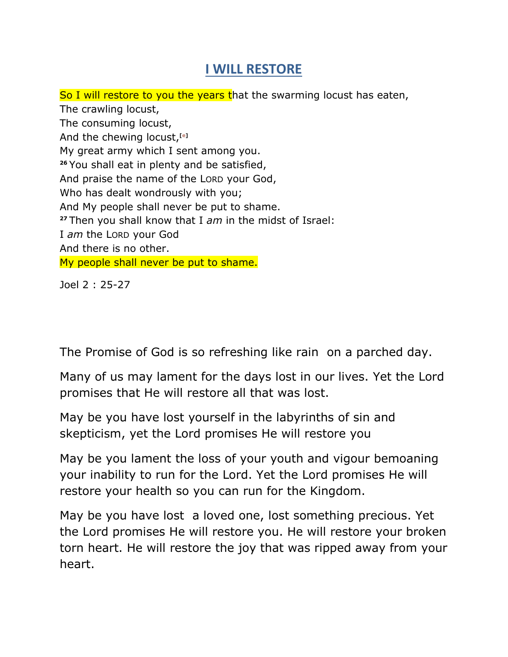## **I WILL RESTORE**

So I will restore to you the years that the swarming locust has eaten, The crawling locust, The consuming locust, And the chewing locust,**[\[e\]](http://www.biblegateway.com/passage/?search=Joel+2&version=NKJV#fen-NKJV-22337e)** My great army which I sent among you. **<sup>26</sup>** You shall eat in plenty and be satisfied, And praise the name of the LORD your God, Who has dealt wondrously with you; And My people shall never be put to shame. **<sup>27</sup>** Then you shall know that I *am* in the midst of Israel: I *am* the LORD your God And there is no other. My people shall never be put to shame.

Joel 2 : 25-27

The Promise of God is so refreshing like rain on a parched day.

Many of us may lament for the days lost in our lives. Yet the Lord promises that He will restore all that was lost.

May be you have lost yourself in the labyrinths of sin and skepticism, yet the Lord promises He will restore you

May be you lament the loss of your youth and vigour bemoaning your inability to run for the Lord. Yet the Lord promises He will restore your health so you can run for the Kingdom.

May be you have lost a loved one, lost something precious. Yet the Lord promises He will restore you. He will restore your broken torn heart. He will restore the joy that was ripped away from your heart.